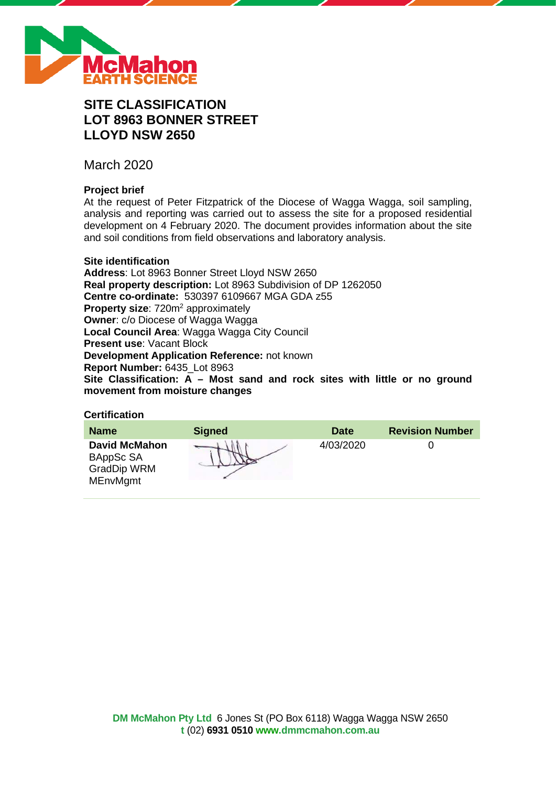

# **SITE CLASSIFICATION LOT 8963 BONNER STREET LLOYD NSW 2650**

March 2020

# **Project brief**

At the request of Peter Fitzpatrick of the Diocese of Wagga Wagga, soil sampling, analysis and reporting was carried out to assess the site for a proposed residential development on 4 February 2020. The document provides information about the site and soil conditions from field observations and laboratory analysis.

### **Site identification**

**Address**: Lot 8963 Bonner Street Lloyd NSW 2650 **Real property description:** Lot 8963 Subdivision of DP 1262050 **Centre co-ordinate:** 530397 6109667 MGA GDA z55 **Property size:** 720m<sup>2</sup> approximately **Owner**: c/o Diocese of Wagga Wagga **Local Council Area**: Wagga Wagga City Council **Present use**: Vacant Block **Development Application Reference:** not known **Report Number:** 6435\_Lot 8963 **Site Classification: A – Most sand and rock sites with little or no ground movement from moisture changes**

# **Certification**

| <b>Name</b>                                                                | <b>Signed</b> | <b>Date</b> | <b>Revision Number</b> |
|----------------------------------------------------------------------------|---------------|-------------|------------------------|
| <b>David McMahon</b><br>BAppSc SA<br><b>GradDip WRM</b><br><b>MEnvMgmt</b> |               | 4/03/2020   |                        |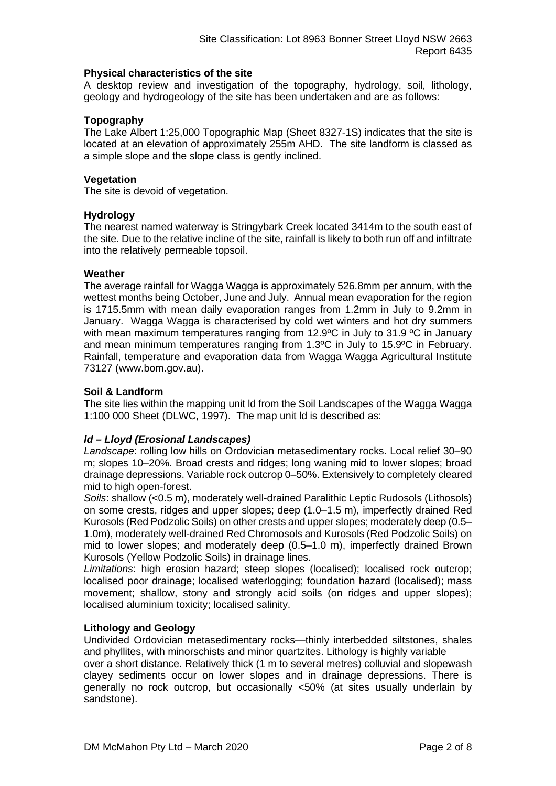### **Physical characteristics of the site**

A desktop review and investigation of the topography, hydrology, soil, lithology, geology and hydrogeology of the site has been undertaken and are as follows:

### **Topography**

The Lake Albert 1:25,000 Topographic Map (Sheet 8327-1S) indicates that the site is located at an elevation of approximately 255m AHD. The site landform is classed as a simple slope and the slope class is gently inclined.

### **Vegetation**

The site is devoid of vegetation.

### **Hydrology**

The nearest named waterway is Stringybark Creek located 3414m to the south east of the site. Due to the relative incline of the site, rainfall is likely to both run off and infiltrate into the relatively permeable topsoil.

### **Weather**

The average rainfall for Wagga Wagga is approximately 526.8mm per annum, with the wettest months being October, June and July. Annual mean evaporation for the region is 1715.5mm with mean daily evaporation ranges from 1.2mm in July to 9.2mm in January. Wagga Wagga is characterised by cold wet winters and hot dry summers with mean maximum temperatures ranging from 12.9°C in July to 31.9 °C in January and mean minimum temperatures ranging from 1.3ºC in July to 15.9ºC in February. Rainfall, temperature and evaporation data from Wagga Wagga Agricultural Institute 73127 (www.bom.gov.au).

### **Soil & Landform**

The site lies within the mapping unit ld from the Soil Landscapes of the Wagga Wagga 1:100 000 Sheet (DLWC, 1997). The map unit ld is described as:

# *ld – Lloyd (Erosional Landscapes)*

*Landscape*: rolling low hills on Ordovician metasedimentary rocks. Local relief 30–90 m; slopes 10–20%. Broad crests and ridges; long waning mid to lower slopes; broad drainage depressions. Variable rock outcrop 0–50%. Extensively to completely cleared mid to high open-forest.

*Soils*: shallow (<0.5 m), moderately well-drained Paralithic Leptic Rudosols (Lithosols) on some crests, ridges and upper slopes; deep (1.0–1.5 m), imperfectly drained Red Kurosols (Red Podzolic Soils) on other crests and upper slopes; moderately deep (0.5– 1.0m), moderately well-drained Red Chromosols and Kurosols (Red Podzolic Soils) on mid to lower slopes; and moderately deep (0.5–1.0 m), imperfectly drained Brown Kurosols (Yellow Podzolic Soils) in drainage lines.

*Limitations*: high erosion hazard; steep slopes (localised); localised rock outcrop; localised poor drainage; localised waterlogging; foundation hazard (localised); mass movement; shallow, stony and strongly acid soils (on ridges and upper slopes); localised aluminium toxicity; localised salinity.

### **Lithology and Geology**

Undivided Ordovician metasedimentary rocks—thinly interbedded siltstones, shales and phyllites, with minorschists and minor quartzites. Lithology is highly variable

over a short distance. Relatively thick (1 m to several metres) colluvial and slopewash clayey sediments occur on lower slopes and in drainage depressions. There is generally no rock outcrop, but occasionally <50% (at sites usually underlain by sandstone).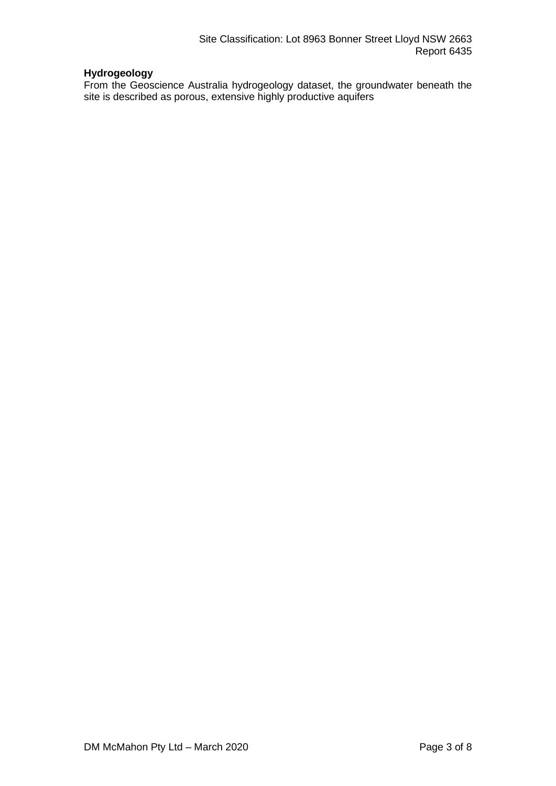# **Hydrogeology**

From the Geoscience Australia hydrogeology dataset, the groundwater beneath the site is described as porous, extensive highly productive aquifers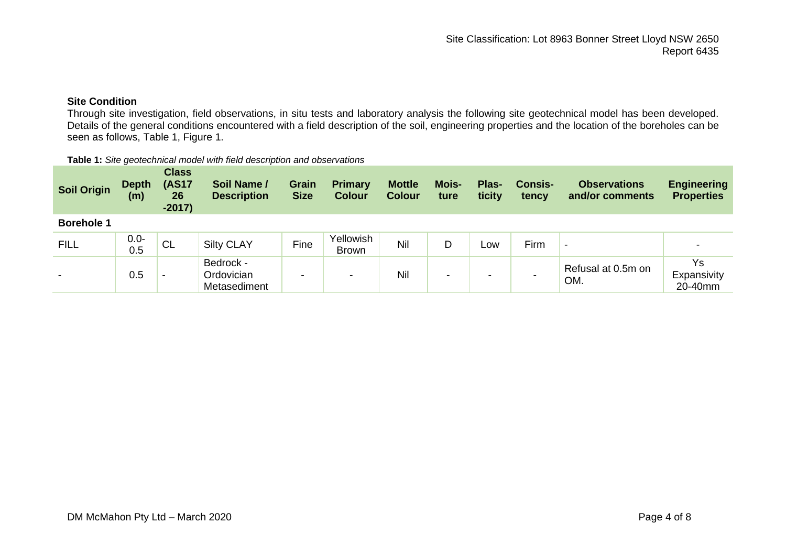# **Site Condition**

Through site investigation, field observations, in situ tests and laboratory analysis the following site geotechnical model has been developed. Details of the general conditions encountered with a field description of the soil, engineering properties and the location of the boreholes can be seen as follows, Table 1, Figure 1.

#### **Table 1:** *Site geotechnical model with field description and observations*

| <b>Soil Origin</b>       | <b>Depth</b><br>(m) | <b>Class</b><br><b>(AS17</b><br>26<br>$-2017)$ | Soil Name /<br><b>Description</b>       | <b>Grain</b><br><b>Size</b> | <b>Primary</b><br><b>Colour</b> | <b>Mottle</b><br><b>Colour</b> | <b>Mois-</b><br>ture | Plas-<br>ticity | <b>Consis-</b><br>tency | <b>Observations</b><br>and/or comments | <b>Engineering</b><br><b>Properties</b> |
|--------------------------|---------------------|------------------------------------------------|-----------------------------------------|-----------------------------|---------------------------------|--------------------------------|----------------------|-----------------|-------------------------|----------------------------------------|-----------------------------------------|
| <b>Borehole 1</b>        |                     |                                                |                                         |                             |                                 |                                |                      |                 |                         |                                        |                                         |
| <b>FILL</b>              | $0.0 -$<br>0.5      | CL C                                           | <b>Silty CLAY</b>                       | Fine                        | Yellowish<br><b>Brown</b>       | Nil                            | D                    | Low             | Firm                    | $\,$                                   |                                         |
| $\overline{\phantom{0}}$ | 0.5                 | $\overline{\phantom{0}}$                       | Bedrock -<br>Ordovician<br>Metasediment | -                           | $\overline{\phantom{a}}$        | Nil                            | -                    |                 |                         | Refusal at 0.5m on<br>OM.              | Ys<br>Expansivity<br>20-40mm            |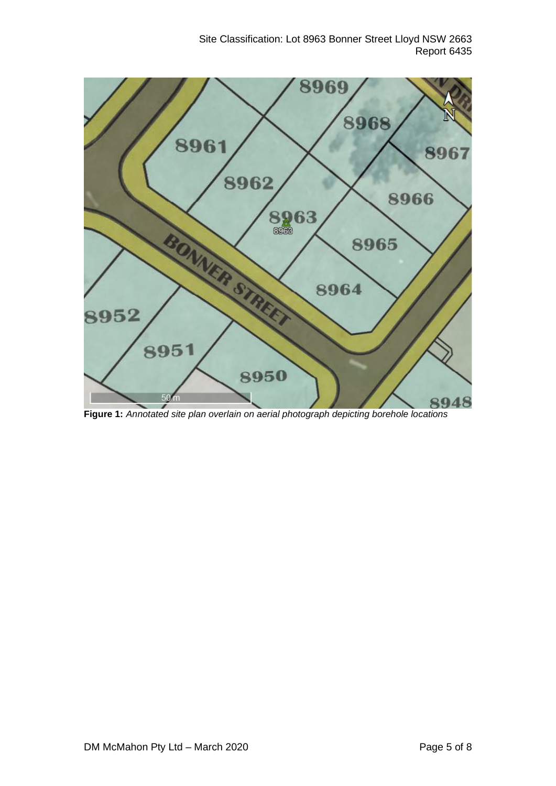

**Figure 1:** *Annotated site plan overlain on aerial photograph depicting borehole locations*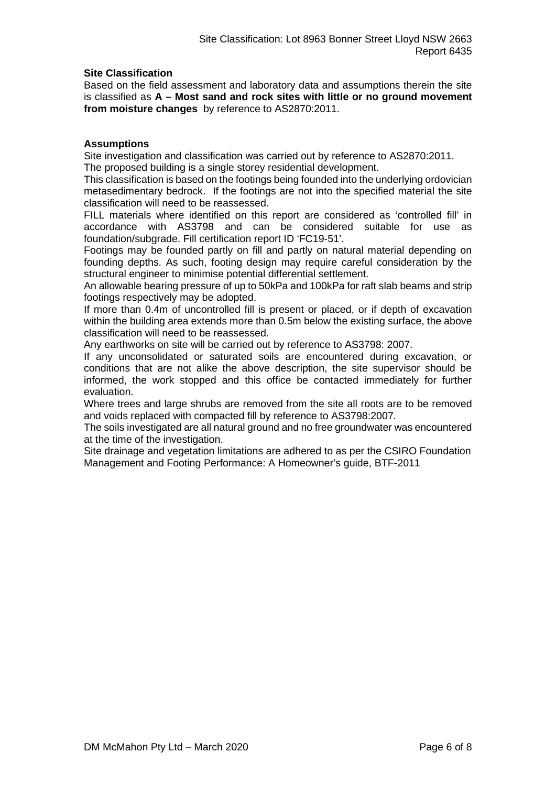# **Site Classification**

Based on the field assessment and laboratory data and assumptions therein the site is classified as **A – Most sand and rock sites with little or no ground movement from moisture changes** by reference to AS2870:2011.

### **Assumptions**

Site investigation and classification was carried out by reference to AS2870:2011. The proposed building is a single storey residential development.

This classification is based on the footings being founded into the underlying ordovician metasedimentary bedrock. If the footings are not into the specified material the site classification will need to be reassessed.

FILL materials where identified on this report are considered as 'controlled fill' in accordance with AS3798 and can be considered suitable for use as foundation/subgrade. Fill certification report ID 'FC19-51'.

Footings may be founded partly on fill and partly on natural material depending on founding depths. As such, footing design may require careful consideration by the structural engineer to minimise potential differential settlement.

An allowable bearing pressure of up to 50kPa and 100kPa for raft slab beams and strip footings respectively may be adopted.

If more than 0.4m of uncontrolled fill is present or placed, or if depth of excavation within the building area extends more than 0.5m below the existing surface, the above classification will need to be reassessed.

Any earthworks on site will be carried out by reference to AS3798: 2007.

If any unconsolidated or saturated soils are encountered during excavation, or conditions that are not alike the above description, the site supervisor should be informed, the work stopped and this office be contacted immediately for further evaluation.

Where trees and large shrubs are removed from the site all roots are to be removed and voids replaced with compacted fill by reference to AS3798:2007.

The soils investigated are all natural ground and no free groundwater was encountered at the time of the investigation.

Site drainage and vegetation limitations are adhered to as per the CSIRO Foundation Management and Footing Performance: A Homeowner's guide, BTF-2011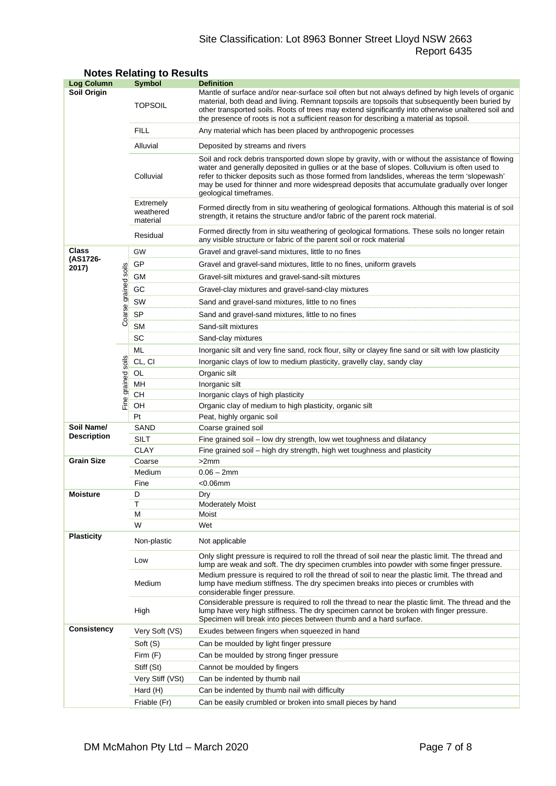# Site Classification: Lot 8963 Bonner Street Lloyd NSW 2663 Report 6435

| <b>Log Column</b>  |                      | <b>Symbol</b>                                                              | <b>Definition</b>                                                                                                                                                                                                                                                                                                                                                                                                          |  |  |  |  |
|--------------------|----------------------|----------------------------------------------------------------------------|----------------------------------------------------------------------------------------------------------------------------------------------------------------------------------------------------------------------------------------------------------------------------------------------------------------------------------------------------------------------------------------------------------------------------|--|--|--|--|
| <b>Soil Origin</b> |                      | <b>TOPSOIL</b>                                                             | Mantle of surface and/or near-surface soil often but not always defined by high levels of organic<br>material, both dead and living. Remnant topsoils are topsoils that subsequently been buried by<br>other transported soils. Roots of trees may extend significantly into otherwise unaltered soil and<br>the presence of roots is not a sufficient reason for describing a material as topsoil.                        |  |  |  |  |
|                    |                      | <b>FILL</b>                                                                | Any material which has been placed by anthropogenic processes                                                                                                                                                                                                                                                                                                                                                              |  |  |  |  |
|                    |                      | Alluvial                                                                   | Deposited by streams and rivers                                                                                                                                                                                                                                                                                                                                                                                            |  |  |  |  |
|                    |                      | Colluvial                                                                  | Soil and rock debris transported down slope by gravity, with or without the assistance of flowing<br>water and generally deposited in gullies or at the base of slopes. Colluvium is often used to<br>refer to thicker deposits such as those formed from landslides, whereas the term 'slopewash'<br>may be used for thinner and more widespread deposits that accumulate gradually over longer<br>geological timeframes. |  |  |  |  |
|                    |                      | Extremely<br>weathered<br>material                                         | Formed directly from in situ weathering of geological formations. Although this material is of soil<br>strength, it retains the structure and/or fabric of the parent rock material.                                                                                                                                                                                                                                       |  |  |  |  |
|                    |                      | Residual                                                                   | Formed directly from in situ weathering of geological formations. These soils no longer retain<br>any visible structure or fabric of the parent soil or rock material                                                                                                                                                                                                                                                      |  |  |  |  |
| Class              |                      | GW                                                                         | Gravel and gravel-sand mixtures, little to no fines                                                                                                                                                                                                                                                                                                                                                                        |  |  |  |  |
| (AS1726-           |                      | GP<br>Gravel and gravel-sand mixtures, little to no fines, uniform gravels |                                                                                                                                                                                                                                                                                                                                                                                                                            |  |  |  |  |
| 2017)              |                      | GМ                                                                         | Gravel-silt mixtures and gravel-sand-silt mixtures                                                                                                                                                                                                                                                                                                                                                                         |  |  |  |  |
|                    |                      | GC                                                                         | Gravel-clay mixtures and gravel-sand-clay mixtures                                                                                                                                                                                                                                                                                                                                                                         |  |  |  |  |
|                    |                      | SW                                                                         | Sand and gravel-sand mixtures, little to no fines                                                                                                                                                                                                                                                                                                                                                                          |  |  |  |  |
|                    |                      | <b>SP</b>                                                                  |                                                                                                                                                                                                                                                                                                                                                                                                                            |  |  |  |  |
|                    | Coarse grained soils |                                                                            | Sand and gravel-sand mixtures, little to no fines                                                                                                                                                                                                                                                                                                                                                                          |  |  |  |  |
|                    |                      | <b>SM</b><br>SC                                                            | Sand-silt mixtures                                                                                                                                                                                                                                                                                                                                                                                                         |  |  |  |  |
|                    |                      | ML                                                                         | Sand-clay mixtures                                                                                                                                                                                                                                                                                                                                                                                                         |  |  |  |  |
|                    |                      | CL, CI                                                                     | Inorganic silt and very fine sand, rock flour, silty or clayey fine sand or silt with low plasticity                                                                                                                                                                                                                                                                                                                       |  |  |  |  |
|                    | soils                |                                                                            | Inorganic clays of low to medium plasticity, gravelly clay, sandy clay                                                                                                                                                                                                                                                                                                                                                     |  |  |  |  |
|                    |                      | OL<br>MН                                                                   | Organic silt<br>Inorganic silt                                                                                                                                                                                                                                                                                                                                                                                             |  |  |  |  |
|                    |                      | CН                                                                         | Inorganic clays of high plasticity                                                                                                                                                                                                                                                                                                                                                                                         |  |  |  |  |
|                    | Fine grained         | OН                                                                         | Organic clay of medium to high plasticity, organic silt                                                                                                                                                                                                                                                                                                                                                                    |  |  |  |  |
|                    |                      | Pt<br>Peat, highly organic soil                                            |                                                                                                                                                                                                                                                                                                                                                                                                                            |  |  |  |  |
| Soil Name/         |                      | SAND                                                                       | Coarse grained soil                                                                                                                                                                                                                                                                                                                                                                                                        |  |  |  |  |
| <b>Description</b> |                      | SILT                                                                       | Fine grained soil - low dry strength, low wet toughness and dilatancy                                                                                                                                                                                                                                                                                                                                                      |  |  |  |  |
|                    |                      | <b>CLAY</b>                                                                | Fine grained soil – high dry strength, high wet toughness and plasticity                                                                                                                                                                                                                                                                                                                                                   |  |  |  |  |
| <b>Grain Size</b>  |                      | Coarse                                                                     | >2mm                                                                                                                                                                                                                                                                                                                                                                                                                       |  |  |  |  |
|                    |                      | Medium                                                                     | $0.06 - 2mm$                                                                                                                                                                                                                                                                                                                                                                                                               |  |  |  |  |
|                    |                      | Fine                                                                       | $<$ 0.06 $mm$                                                                                                                                                                                                                                                                                                                                                                                                              |  |  |  |  |
| <b>Moisture</b>    |                      | D                                                                          | Dry                                                                                                                                                                                                                                                                                                                                                                                                                        |  |  |  |  |
|                    |                      | Т<br>М                                                                     | <b>Moderately Moist</b><br>Moist                                                                                                                                                                                                                                                                                                                                                                                           |  |  |  |  |
|                    |                      | W                                                                          | Wet                                                                                                                                                                                                                                                                                                                                                                                                                        |  |  |  |  |
| <b>Plasticity</b>  |                      | Non-plastic                                                                | Not applicable                                                                                                                                                                                                                                                                                                                                                                                                             |  |  |  |  |
|                    |                      | Low                                                                        | Only slight pressure is required to roll the thread of soil near the plastic limit. The thread and<br>lump are weak and soft. The dry specimen crumbles into powder with some finger pressure.                                                                                                                                                                                                                             |  |  |  |  |
|                    |                      | Medium                                                                     | Medium pressure is required to roll the thread of soil to near the plastic limit. The thread and<br>lump have medium stiffness. The dry specimen breaks into pieces or crumbles with<br>considerable finger pressure.                                                                                                                                                                                                      |  |  |  |  |
|                    |                      | High                                                                       | Considerable pressure is required to roll the thread to near the plastic limit. The thread and the<br>lump have very high stiffness. The dry specimen cannot be broken with finger pressure.<br>Specimen will break into pieces between thumb and a hard surface.                                                                                                                                                          |  |  |  |  |
| <b>Consistency</b> |                      | Very Soft (VS)                                                             | Exudes between fingers when squeezed in hand                                                                                                                                                                                                                                                                                                                                                                               |  |  |  |  |
|                    |                      | Soft (S)                                                                   | Can be moulded by light finger pressure                                                                                                                                                                                                                                                                                                                                                                                    |  |  |  |  |
|                    |                      | Firm (F)                                                                   | Can be moulded by strong finger pressure                                                                                                                                                                                                                                                                                                                                                                                   |  |  |  |  |
|                    |                      | Stiff (St)                                                                 | Cannot be moulded by fingers                                                                                                                                                                                                                                                                                                                                                                                               |  |  |  |  |
|                    |                      | Very Stiff (VSt)                                                           | Can be indented by thumb nail                                                                                                                                                                                                                                                                                                                                                                                              |  |  |  |  |
|                    |                      | Hard (H)                                                                   | Can be indented by thumb nail with difficulty                                                                                                                                                                                                                                                                                                                                                                              |  |  |  |  |
|                    |                      | Friable (Fr)                                                               | Can be easily crumbled or broken into small pieces by hand                                                                                                                                                                                                                                                                                                                                                                 |  |  |  |  |

# **Notes Relating to Results**